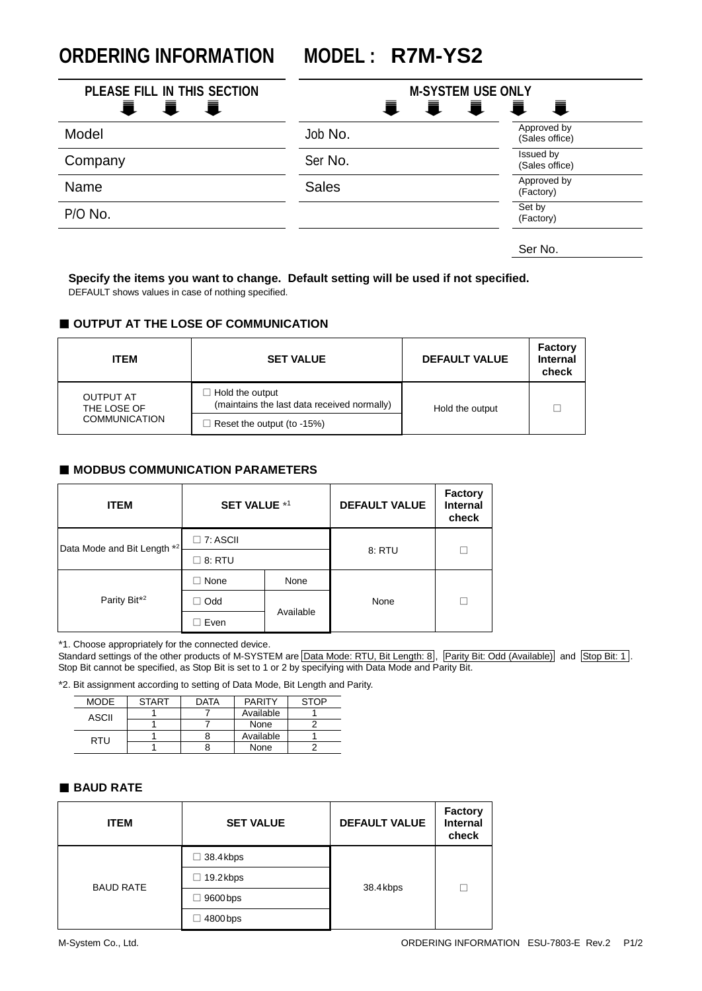**ORDERING INFORMATION MODEL : R7M-YS2**

| PLEASE FILL IN THIS SECTION<br>量。<br><b>I</b><br>Ħ | 量            | <b>M-SYSTEM USE ONLY</b><br>量<br>量<br>一直 |
|----------------------------------------------------|--------------|------------------------------------------|
| Model                                              | Job No.      | Approved by<br>(Sales office)            |
| Company                                            | Ser No.      | Issued by<br>(Sales office)              |
| Name                                               | <b>Sales</b> | Approved by<br>(Factory)                 |
| P/O No.                                            |              | Set by<br>(Factory)                      |
|                                                    |              | Ser No.                                  |

**Specify the items you want to change. Default setting will be used if not specified.** DEFAULT shows values in case of nothing specified.

#### ■ **OUTPUT AT THE LOSE OF COMMUNICATION**

| <b>ITEM</b>              | <b>SET VALUE</b>                                                      | <b>DEFAULT VALUE</b> | <b>Factory</b><br><b>Internal</b><br>check |
|--------------------------|-----------------------------------------------------------------------|----------------------|--------------------------------------------|
| OUTPUT AT<br>THE LOSE OF | $\Box$ Hold the output<br>(maintains the last data received normally) | Hold the output      |                                            |
| <b>COMMUNICATION</b>     | $\Box$ Reset the output (to -15%)                                     |                      |                                            |

#### ■ **MODBUS COMMUNICATION PARAMETERS**

| <b>ITEM</b>                 | <b>SET VALUE *1</b> |           | <b>DEFAULT VALUE</b> | Factory<br><b>Internal</b><br>check |
|-----------------------------|---------------------|-----------|----------------------|-------------------------------------|
| Data Mode and Bit Length *2 | $\Box$ 7: ASCII     |           | г                    |                                     |
|                             | 8: RTU              |           | 8: RTU               |                                     |
|                             | $\Box$ None         | None      |                      |                                     |
| Parity Bit <sup>*2</sup>    | $\Box$ Odd          |           | None                 | г                                   |
|                             | Even                | Available |                      |                                     |

\*1. Choose appropriately for the connected device.

Standard settings of the other products of M-SYSTEM are Data Mode: RTU, Bit Length: 8, Parity Bit: Odd (Available) and Stop Bit: 1. Stop Bit cannot be specified, as Stop Bit is set to 1 or 2 by specifying with Data Mode and Parity Bit.

\*2. Bit assignment according to setting of Data Mode, Bit Length and Parity.

| <b>MODE</b> | <b>START</b> | <b>DATA</b> | <b>PARITY</b> | <b>STOP</b> |
|-------------|--------------|-------------|---------------|-------------|
| ASCII       |              |             | Available     |             |
|             |              |             | None          |             |
| RTU         |              |             | Available     |             |
|             |              |             | None          |             |

### ■ **BAUD RATE**

| <b>ITEM</b>      | <b>SET VALUE</b> | <b>DEFAULT VALUE</b> | Factory<br><b>Internal</b><br>check |
|------------------|------------------|----------------------|-------------------------------------|
| <b>BAUD RATE</b> | $\Box$ 38.4 kbps |                      |                                     |
|                  | $\Box$ 19.2 kbps | 38.4 kbps            |                                     |
|                  | $\Box$ 9600 bps  |                      |                                     |
|                  | $\Box$ 4800 bps  |                      |                                     |